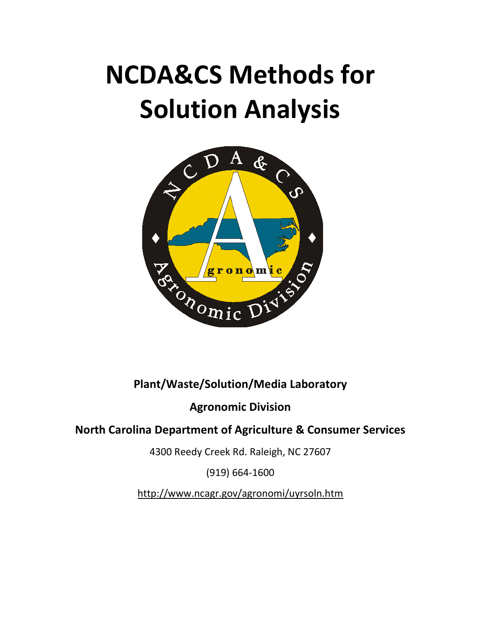# **NCDA&CS Methods for Solution Analysis**



# **Plant/Waste/Solution/Media Laboratory**

# **Agronomic Division**

# **North Carolina Department of Agriculture & Consumer Services**

4300 Reedy Creek Rd. Raleigh, NC 27607

(919) 664-1600

http://www.ncagr.gov/agronomi/uyrsoln.htm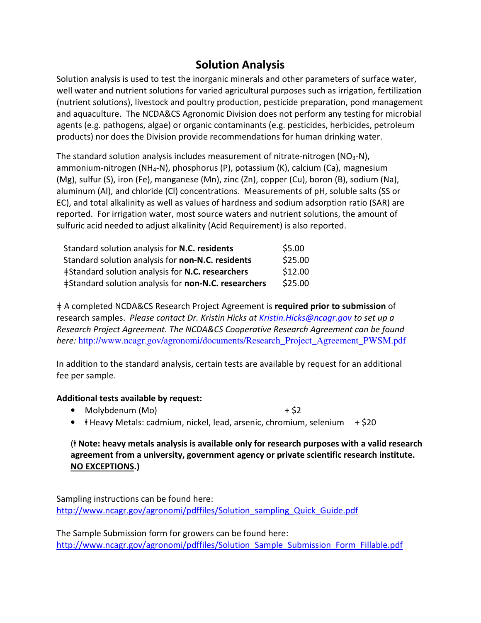# **Solution Analysis**

Solution analysis is used to test the inorganic minerals and other parameters of surface water, well water and nutrient solutions for varied agricultural purposes such as irrigation, fertilization (nutrient solutions), livestock and poultry production, pesticide preparation, pond management and aquaculture. The NCDA&CS Agronomic Division does not perform any testing for microbial agents (e.g. pathogens, algae) or organic contaminants (e.g. pesticides, herbicides, petroleum products) nor does the Division provide recommendations for human drinking water.

The standard solution analysis includes measurement of nitrate-nitrogen ( $NO<sub>3</sub>-N$ ), ammonium-nitrogen (NH4-N), phosphorus (P), potassium (K), calcium (Ca), magnesium (Mg), sulfur (S), iron (Fe), manganese (Mn), zinc (Zn), copper (Cu), boron (B), sodium (Na), aluminum (Al), and chloride (Cl) concentrations. Measurements of pH, soluble salts (SS or EC), and total alkalinity as well as values of hardness and sodium adsorption ratio (SAR) are reported. For irrigation water, most source waters and nutrient solutions, the amount of sulfuric acid needed to adjust alkalinity (Acid Requirement) is also reported.

| Standard solution analysis for N.C. residents               | \$5.00  |
|-------------------------------------------------------------|---------|
| Standard solution analysis for non-N.C. residents           | \$25.00 |
| ‡Standard solution analysis for N.C. researchers            | \$12.00 |
| <b>‡Standard solution analysis for non-N.C. researchers</b> | \$25.00 |

ǂ A completed NCDA&CS Research Project Agreement is **required prior to submission** of research samples. *Please contact Dr. Kristin Hicks at Kristin.Hicks@ncagr.gov to set up a Research Project Agreement. The NCDA&CS Cooperative Research Agreement can be found here:* http://www.ncagr.gov/agronomi/documents/Research\_Project\_Agreement\_PWSM.pdf

In addition to the standard analysis, certain tests are available by request for an additional fee per sample.

#### **Additional tests available by request:**

- Molybdenum  $(Mo)$  + \$2
	-
- ⱡ Heavy Metals: cadmium, nickel, lead, arsenic, chromium, selenium+ \$20

#### (ⱡ **Note: heavy metals analysis is available only for research purposes with a valid research agreement from a university, government agency or private scientific research institute. NO EXCEPTIONS.)**

Sampling instructions can be found here: http://www.ncagr.gov/agronomi/pdffiles/Solution\_sampling\_Quick\_Guide.pdf

The Sample Submission form for growers can be found here: http://www.ncagr.gov/agronomi/pdffiles/Solution\_Sample\_Submission\_Form\_Fillable.pdf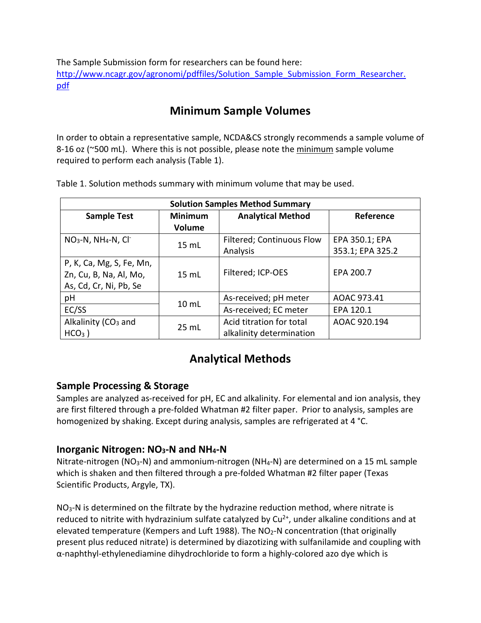The Sample Submission form for researchers can be found here: http://www.ncagr.gov/agronomi/pdffiles/Solution\_Sample\_Submission\_Form\_Researcher. pdf

# **Minimum Sample Volumes**

In order to obtain a representative sample, NCDA&CS strongly recommends a sample volume of 8-16 oz ( $\approx$ 500 mL). Where this is not possible, please note the minimum sample volume required to perform each analysis (Table 1).

| <b>Solution Samples Method Summary</b>                                       |                                 |                                                      |                                    |  |
|------------------------------------------------------------------------------|---------------------------------|------------------------------------------------------|------------------------------------|--|
| <b>Sample Test</b>                                                           | <b>Minimum</b><br><b>Volume</b> | <b>Analytical Method</b>                             | Reference                          |  |
| $NO3-N$ , NH <sub>4</sub> -N, Cl <sup>-</sup>                                | 15 mL                           | <b>Filtered; Continuous Flow</b><br>Analysis         | EPA 350.1; EPA<br>353.1; EPA 325.2 |  |
| P, K, Ca, Mg, S, Fe, Mn,<br>Zn, Cu, B, Na, Al, Mo,<br>As, Cd, Cr, Ni, Pb, Se | 15 mL                           | Filtered; ICP-OES                                    | EPA 200.7                          |  |
| pH                                                                           | 10 <sub>mL</sub>                | As-received; pH meter                                | AOAC 973.41                        |  |
| EC/SS                                                                        |                                 | As-received; EC meter                                | EPA 120.1                          |  |
| Alkalinity (CO <sub>3</sub> and<br>$HCO3$ )                                  | 25 mL                           | Acid titration for total<br>alkalinity determination | AOAC 920.194                       |  |

Table 1. Solution methods summary with minimum volume that may be used.

# **Analytical Methods**

## **Sample Processing & Storage**

Samples are analyzed as-received for pH, EC and alkalinity. For elemental and ion analysis, they are first filtered through a pre-folded Whatman #2 filter paper. Prior to analysis, samples are homogenized by shaking. Except during analysis, samples are refrigerated at 4 °C.

## **Inorganic Nitrogen: NO3-N and NH4-N**

Nitrate-nitrogen ( $NO<sub>3</sub>-N$ ) and ammonium-nitrogen ( $NH<sub>4</sub>-N$ ) are determined on a 15 mL sample which is shaken and then filtered through a pre-folded Whatman #2 filter paper (Texas Scientific Products, Argyle, TX).

 $NO<sub>3</sub>-N$  is determined on the filtrate by the hydrazine reduction method, where nitrate is reduced to nitrite with hydrazinium sulfate catalyzed by  $Cu<sup>2+</sup>$ , under alkaline conditions and at elevated temperature (Kempers and Luft 1988). The NO<sub>2</sub>-N concentration (that originally present plus reduced nitrate) is determined by diazotizing with sulfanilamide and coupling with α-naphthyl-ethylenediamine dihydrochloride to form a highly-colored azo dye which is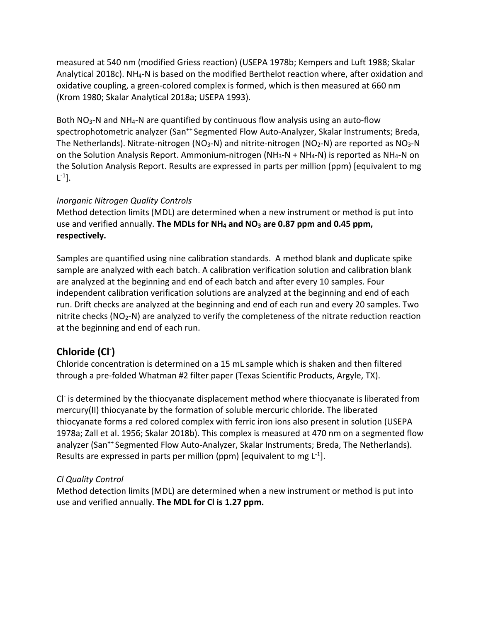measured at 540 nm (modified Griess reaction) (USEPA 1978b; Kempers and Luft 1988; Skalar Analytical 2018c). NH4-N is based on the modified Berthelot reaction where, after oxidation and oxidative coupling, a green-colored complex is formed, which is then measured at 660 nm (Krom 1980; Skalar Analytical 2018a; USEPA 1993).

Both NO3-N and NH4-N are quantified by continuous flow analysis using an auto-flow spectrophotometric analyzer (San<sup>++</sup> Segmented Flow Auto-Analyzer, Skalar Instruments; Breda, The Netherlands). Nitrate-nitrogen (NO<sub>3</sub>-N) and nitrite-nitrogen (NO<sub>2</sub>-N) are reported as NO<sub>3</sub>-N on the Solution Analysis Report. Ammonium-nitrogen (NH<sub>3</sub>-N + NH<sub>4</sub>-N) is reported as NH<sub>4</sub>-N on the Solution Analysis Report. Results are expressed in parts per million (ppm) [equivalent to mg  $\lfloor$ <sup>-1</sup>].

#### *Inorganic Nitrogen Quality Controls*

Method detection limits (MDL) are determined when a new instrument or method is put into use and verified annually. **The MDLs for NH4 and NO3 are 0.87 ppm and 0.45 ppm, respectively.**

Samples are quantified using nine calibration standards. A method blank and duplicate spike sample are analyzed with each batch. A calibration verification solution and calibration blank are analyzed at the beginning and end of each batch and after every 10 samples. Four independent calibration verification solutions are analyzed at the beginning and end of each run. Drift checks are analyzed at the beginning and end of each run and every 20 samples. Two nitrite checks ( $NO<sub>2</sub>-N$ ) are analyzed to verify the completeness of the nitrate reduction reaction at the beginning and end of each run.

## **Chloride (Cl- )**

Chloride concentration is determined on a 15 mL sample which is shaken and then filtered through a pre-folded Whatman #2 filter paper (Texas Scientific Products, Argyle, TX).

CI<sup>-</sup> is determined by the thiocyanate displacement method where thiocyanate is liberated from mercury(II) thiocyanate by the formation of soluble mercuric chloride. The liberated thiocyanate forms a red colored complex with ferric iron ions also present in solution (USEPA 1978a; Zall et al. 1956; Skalar 2018b). This complex is measured at 470 nm on a segmented flow analyzer (San<sup>++</sup> Segmented Flow Auto-Analyzer, Skalar Instruments; Breda, The Netherlands). Results are expressed in parts per million (ppm) [equivalent to mg  $L^{-1}$ ].

#### *Cl Quality Control*

Method detection limits (MDL) are determined when a new instrument or method is put into use and verified annually. **The MDL for Cl is 1.27 ppm.**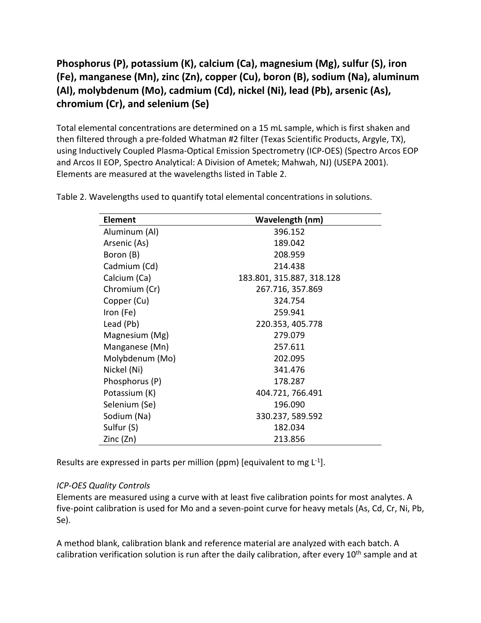## **Phosphorus (P), potassium (K), calcium (Ca), magnesium (Mg), sulfur (S), iron (Fe), manganese (Mn), zinc (Zn), copper (Cu), boron (B), sodium (Na), aluminum (Al), molybdenum (Mo), cadmium (Cd), nickel (Ni), lead (Pb), arsenic (As), chromium (Cr), and selenium (Se)**

Total elemental concentrations are determined on a 15 mL sample, which is first shaken and then filtered through a pre-folded Whatman #2 filter (Texas Scientific Products, Argyle, TX), using Inductively Coupled Plasma-Optical Emission Spectrometry (ICP-OES) (Spectro Arcos EOP and Arcos II EOP, Spectro Analytical: A Division of Ametek; Mahwah, NJ) (USEPA 2001). Elements are measured at the wavelengths listed in Table 2.

| Element         | Wavelength (nm)           |
|-----------------|---------------------------|
| Aluminum (Al)   | 396.152                   |
| Arsenic (As)    | 189.042                   |
| Boron (B)       | 208.959                   |
| Cadmium (Cd)    | 214.438                   |
| Calcium (Ca)    | 183.801, 315.887, 318.128 |
| Chromium (Cr)   | 267.716, 357.869          |
| Copper (Cu)     | 324.754                   |
| Iron (Fe)       | 259.941                   |
| Lead (Pb)       | 220.353, 405.778          |
| Magnesium (Mg)  | 279.079                   |
| Manganese (Mn)  | 257.611                   |
| Molybdenum (Mo) | 202.095                   |
| Nickel (Ni)     | 341.476                   |
| Phosphorus (P)  | 178.287                   |
| Potassium (K)   | 404.721, 766.491          |
| Selenium (Se)   | 196.090                   |
| Sodium (Na)     | 330.237, 589.592          |
| Sulfur (S)      | 182.034                   |
| Zinc (Zn)       | 213.856                   |

Table 2. Wavelengths used to quantify total elemental concentrations in solutions.

Results are expressed in parts per million (ppm) [equivalent to mg  $L^{-1}$ ].

#### *ICP-OES Quality Controls*

Elements are measured using a curve with at least five calibration points for most analytes. A five-point calibration is used for Mo and a seven-point curve for heavy metals (As, Cd, Cr, Ni, Pb, Se).

A method blank, calibration blank and reference material are analyzed with each batch. A calibration verification solution is run after the daily calibration, after every 10<sup>th</sup> sample and at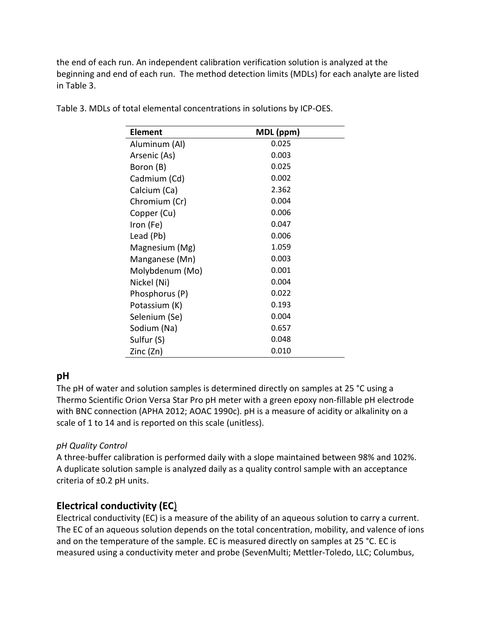the end of each run. An independent calibration verification solution is analyzed at the beginning and end of each run. The method detection limits (MDLs) for each analyte are listed in Table 3.

| <b>Element</b>  | MDL (ppm) |
|-----------------|-----------|
| Aluminum (Al)   | 0.025     |
| Arsenic (As)    | 0.003     |
| Boron (B)       | 0.025     |
| Cadmium (Cd)    | 0.002     |
| Calcium (Ca)    | 2.362     |
| Chromium (Cr)   | 0.004     |
| Copper (Cu)     | 0.006     |
| Iron (Fe)       | 0.047     |
| Lead (Pb)       | 0.006     |
| Magnesium (Mg)  | 1.059     |
| Manganese (Mn)  | 0.003     |
| Molybdenum (Mo) | 0.001     |
| Nickel (Ni)     | 0.004     |
| Phosphorus (P)  | 0.022     |
| Potassium (K)   | 0.193     |
| Selenium (Se)   | 0.004     |
| Sodium (Na)     | 0.657     |
| Sulfur (S)      | 0.048     |
| Zinc (Zn)       | 0.010     |

Table 3. MDLs of total elemental concentrations in solutions by ICP-OES.

## **pH**

The pH of water and solution samples is determined directly on samples at 25 °C using a Thermo Scientific Orion Versa Star Pro pH meter with a green epoxy non-fillable pH electrode with BNC connection (APHA 2012; AOAC 1990c). pH is a measure of acidity or alkalinity on a scale of 1 to 14 and is reported on this scale (unitless).

#### *pH Quality Control*

A three-buffer calibration is performed daily with a slope maintained between 98% and 102%. A duplicate solution sample is analyzed daily as a quality control sample with an acceptance criteria of ±0.2 pH units.

## **Electrical conductivity (EC**)

Electrical conductivity (EC) is a measure of the ability of an aqueous solution to carry a current. The EC of an aqueous solution depends on the total concentration, mobility, and valence of ions and on the temperature of the sample. EC is measured directly on samples at 25 °C. EC is measured using a conductivity meter and probe (SevenMulti; Mettler-Toledo, LLC; Columbus,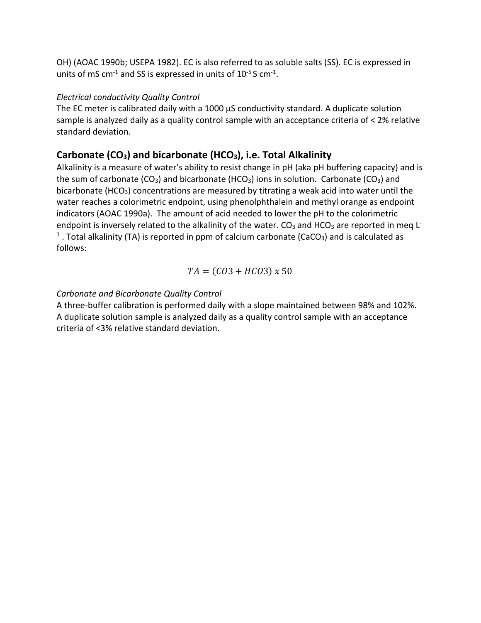OH) (AOAC 1990b; USEPA 1982). EC is also referred to as soluble salts (SS). EC is expressed in units of mS cm<sup>-1</sup> and SS is expressed in units of  $10^{-5}$  S cm<sup>-1</sup>.

#### *Electrical conductivity Quality Control*

The EC meter is calibrated daily with a 1000  $\mu$ S conductivity standard. A duplicate solution sample is analyzed daily as a quality control sample with an acceptance criteria of < 2% relative standard deviation.

## **Carbonate (CO3) and bicarbonate (HCO3), i.e. Total Alkalinity**

Alkalinity is a measure of water's ability to resist change in pH (aka pH buffering capacity) and is the sum of carbonate (CO<sub>3</sub>) and bicarbonate (HCO<sub>3</sub>) ions in solution. Carbonate (CO<sub>3</sub>) and bicarbonate (HCO<sub>3</sub>) concentrations are measured by titrating a weak acid into water until the water reaches a colorimetric endpoint, using phenolphthalein and methyl orange as endpoint indicators (AOAC 1990a). The amount of acid needed to lower the pH to the colorimetric endpoint is inversely related to the alkalinity of the water.  $CO<sub>3</sub>$  and HCO<sub>3</sub> are reported in meg L<sup>-</sup> <sup>1</sup>. Total alkalinity (TA) is reported in ppm of calcium carbonate (CaCO<sub>3</sub>) and is calculated as follows:

$$
TA = (CO3 + HCO3) \times 50
$$

### *Carbonate and Bicarbonate Quality Control*

A three-buffer calibration is performed daily with a slope maintained between 98% and 102%. A duplicate solution sample is analyzed daily as a quality control sample with an acceptance criteria of <3% relative standard deviation.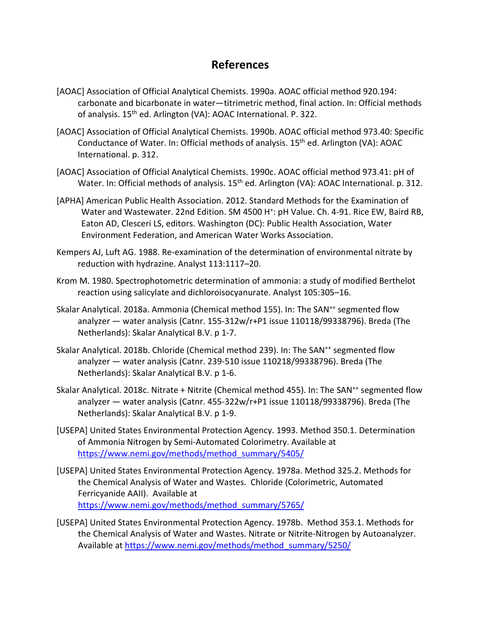# **References**

- [AOAC] Association of Official Analytical Chemists. 1990a. AOAC official method 920.194: carbonate and bicarbonate in water—titrimetric method, final action. In: Official methods of analysis. 15<sup>th</sup> ed. Arlington (VA): AOAC International. P. 322.
- [AOAC] Association of Official Analytical Chemists. 1990b. AOAC official method 973.40: Specific Conductance of Water. In: Official methods of analysis. 15<sup>th</sup> ed. Arlington (VA): AOAC International. p. 312.
- [AOAC] Association of Official Analytical Chemists. 1990c. AOAC official method 973.41: pH of Water. In: Official methods of analysis. 15<sup>th</sup> ed. Arlington (VA): AOAC International. p. 312.
- [APHA] American Public Health Association. 2012. Standard Methods for the Examination of Water and Wastewater. 22nd Edition. SM 4500 H<sup>+</sup>: pH Value. Ch. 4-91. Rice EW, Baird RB, Eaton AD, Clesceri LS, editors. Washington (DC): Public Health Association, Water Environment Federation, and American Water Works Association.
- Kempers AJ, Luft AG. 1988. Re-examination of the determination of environmental nitrate by reduction with hydrazine. Analyst 113:1117–20.
- Krom M. 1980. Spectrophotometric determination of ammonia: a study of modified Berthelot reaction using salicylate and dichloroisocyanurate. Analyst 105:305–16.
- Skalar Analytical. 2018a. Ammonia (Chemical method 155). In: The SAN<sup>++</sup> segmented flow analyzer — water analysis (Catnr. 155-312w/r+P1 issue 110118/99338796). Breda (The Netherlands): Skalar Analytical B.V. p 1-7.
- Skalar Analytical. 2018b. Chloride (Chemical method 239). In: The SAN<sup>++</sup> segmented flow analyzer — water analysis (Catnr. 239-510 issue 110218/99338796). Breda (The Netherlands): Skalar Analytical B.V. p 1-6.
- Skalar Analytical. 2018c. Nitrate + Nitrite (Chemical method 455). In: The SAN<sup>++</sup> segmented flow analyzer — water analysis (Catnr. 455-322w/r+P1 issue 110118/99338796). Breda (The Netherlands): Skalar Analytical B.V. p 1-9.
- [USEPA] United States Environmental Protection Agency. 1993. Method 350.1. Determination of Ammonia Nitrogen by Semi-Automated Colorimetry. Available at https://www.nemi.gov/methods/method\_summary/5405/
- [USEPA] United States Environmental Protection Agency. 1978a. Method 325.2. Methods for the Chemical Analysis of Water and Wastes. Chloride (Colorimetric, Automated Ferricyanide AAII). Available at https://www.nemi.gov/methods/method\_summary/5765/
- [USEPA] United States Environmental Protection Agency. 1978b. Method 353.1. Methods for the Chemical Analysis of Water and Wastes. Nitrate or Nitrite-Nitrogen by Autoanalyzer. Available at https://www.nemi.gov/methods/method\_summary/5250/